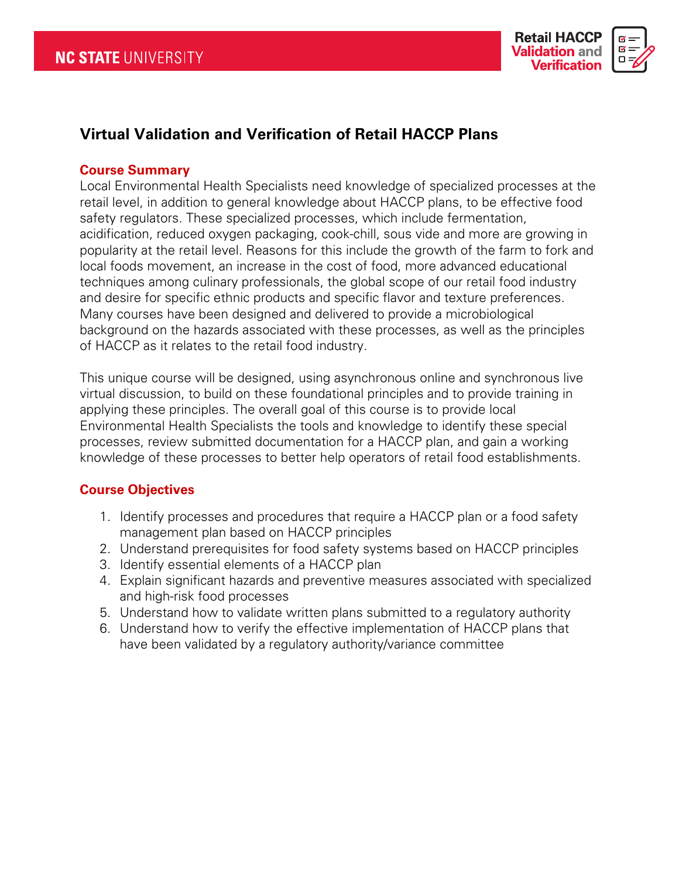

# **Virtual Validation and Verification of Retail HACCP Plans**

#### **Course Summary**

Local Environmental Health Specialists need knowledge of specialized processes at the retail level, in addition to general knowledge about HACCP plans, to be effective food safety regulators. These specialized processes, which include fermentation, acidification, reduced oxygen packaging, cook-chill, sous vide and more are growing in popularity at the retail level. Reasons for this include the growth of the farm to fork and local foods movement, an increase in the cost of food, more advanced educational techniques among culinary professionals, the global scope of our retail food industry and desire for specific ethnic products and specific flavor and texture preferences. Many courses have been designed and delivered to provide a microbiological background on the hazards associated with these processes, as well as the principles of HACCP as it relates to the retail food industry.

This unique course will be designed, using asynchronous online and synchronous live virtual discussion, to build on these foundational principles and to provide training in applying these principles. The overall goal of this course is to provide local Environmental Health Specialists the tools and knowledge to identify these special processes, review submitted documentation for a HACCP plan, and gain a working knowledge of these processes to better help operators of retail food establishments.

## **Course Objectives**

- 1. Identify processes and procedures that require a HACCP plan or a food safety management plan based on HACCP principles
- 2. Understand prerequisites for food safety systems based on HACCP principles
- 3. Identify essential elements of a HACCP plan
- 4. Explain significant hazards and preventive measures associated with specialized and high-risk food processes
- 5. Understand how to validate written plans submitted to a regulatory authority
- 6. Understand how to verify the effective implementation of HACCP plans that have been validated by a regulatory authority/variance committee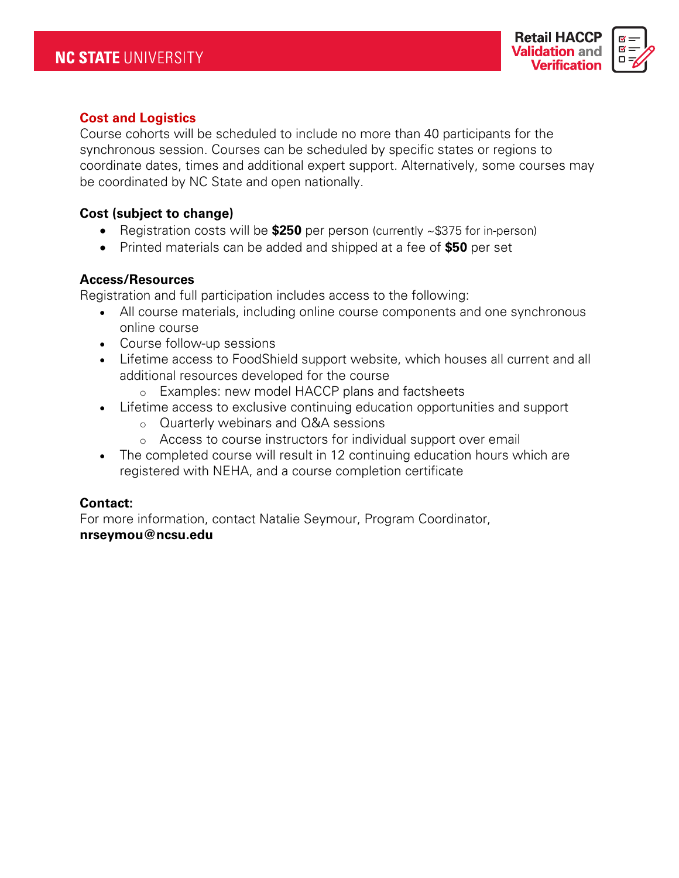

## **Cost and Logistics**

Course cohorts will be scheduled to include no more than 40 participants for the synchronous session. Courses can be scheduled by specific states or regions to coordinate dates, times and additional expert support. Alternatively, some courses may be coordinated by NC State and open nationally.

### **Cost (subject to change)**

- Registration costs will be **\$250** per person (currently ~\$375 for in-person)
- Printed materials can be added and shipped at a fee of **\$50** per set

#### **Access/Resources**

Registration and full participation includes access to the following:

- All course materials, including online course components and one synchronous online course
- Course follow-up sessions
- Lifetime access to FoodShield support website, which houses all current and all additional resources developed for the course
	- o Examples: new model HACCP plans and factsheets
- Lifetime access to exclusive continuing education opportunities and support
	- o Quarterly webinars and Q&A sessions
	- o Access to course instructors for individual support over email
- The completed course will result in 12 continuing education hours which are registered with NEHA, and a course completion certificate

#### **Contact:**

For more information, contact Natalie Seymour, Program Coordinator, **nrseymou@ncsu.edu**